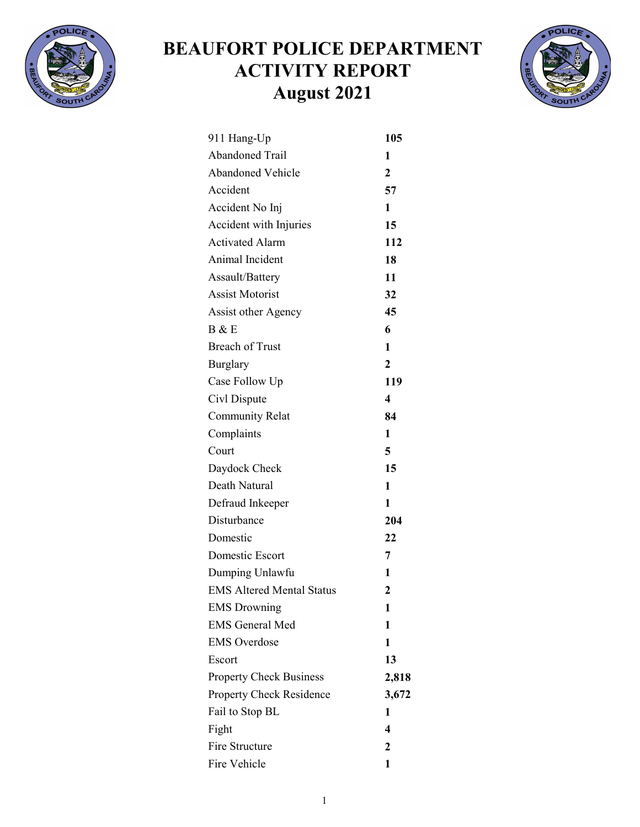

## BEAUFORT POLICE DEPARTMENT ACTIVITY REPORT August 2021



| 911 Hang-Up                      | 105                     |
|----------------------------------|-------------------------|
| <b>Abandoned Trail</b>           | 1                       |
| <b>Abandoned Vehicle</b>         | $\overline{2}$          |
| Accident                         | 57                      |
| Accident No Inj                  | 1                       |
| Accident with Injuries           | 15                      |
| <b>Activated Alarm</b>           | 112                     |
| Animal Incident                  | 18                      |
| Assault/Battery                  | 11                      |
| <b>Assist Motorist</b>           | 32                      |
| <b>Assist other Agency</b>       | 45                      |
| B & E                            | 6                       |
| <b>Breach of Trust</b>           | 1                       |
| <b>Burglary</b>                  | $\overline{2}$          |
| Case Follow Up                   | 119                     |
| Civl Dispute                     | $\overline{\mathbf{4}}$ |
| <b>Community Relat</b>           | 84                      |
| Complaints                       | 1                       |
| Court                            | 5                       |
| Daydock Check                    | 15                      |
| Death Natural                    | $\mathbf{1}$            |
| Defraud Inkeeper                 | 1                       |
| Disturbance                      | 204                     |
| Domestic                         | 22                      |
| Domestic Escort                  | 7                       |
| Dumping Unlawfu                  | $\mathbf{1}$            |
| <b>EMS Altered Mental Status</b> | 2                       |
| <b>EMS Drowning</b>              | 1                       |
| <b>EMS General Med</b>           | 1                       |
| <b>EMS</b> Overdose              | 1                       |
| Escort                           | 13                      |
| <b>Property Check Business</b>   | 2,818                   |
| Property Check Residence         | 3,672                   |
| Fail to Stop BL                  | 1                       |
| Fight                            | 4                       |
| Fire Structure                   | $\mathbf 2$             |
| Fire Vehicle                     | 1                       |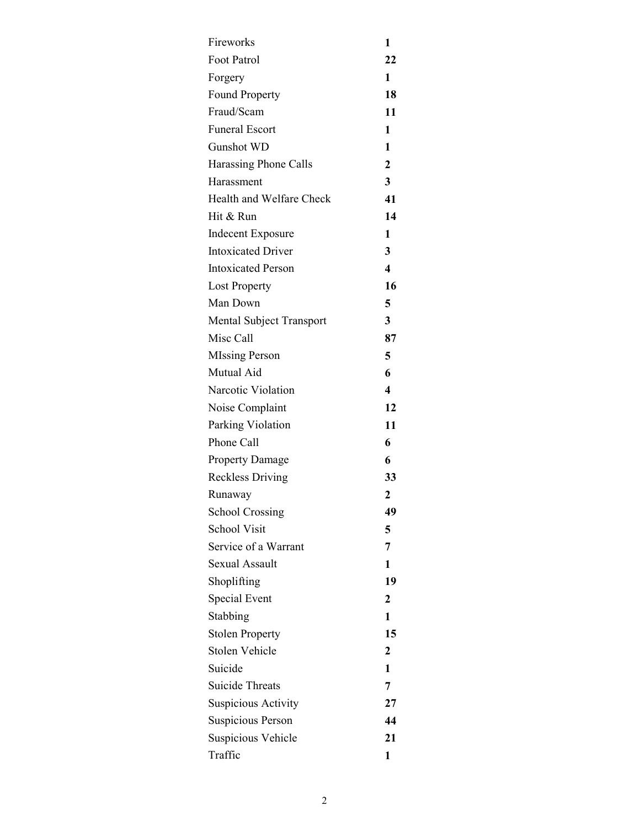| Fireworks                 | 1                |
|---------------------------|------------------|
| Foot Patrol               | 22               |
| Forgery                   | 1                |
| <b>Found Property</b>     | 18               |
| Fraud/Scam                | 11               |
| <b>Funeral Escort</b>     | 1                |
| <b>Gunshot WD</b>         | 1                |
| Harassing Phone Calls     | $\overline{2}$   |
| Harassment                | 3                |
| Health and Welfare Check  | 41               |
| Hit & Run                 | 14               |
| <b>Indecent Exposure</b>  | 1                |
| <b>Intoxicated Driver</b> | 3                |
| <b>Intoxicated Person</b> | $\boldsymbol{4}$ |
| <b>Lost Property</b>      | 16               |
| Man Down                  | 5                |
| Mental Subject Transport  | 3                |
| Misc Call                 | 87               |
| <b>MIssing Person</b>     | 5                |
| Mutual Aid                | 6                |
| Narcotic Violation        | 4                |
| Noise Complaint           | 12               |
| Parking Violation         | 11               |
| Phone Call                | 6                |
| <b>Property Damage</b>    | 6                |
| <b>Reckless Driving</b>   | 33               |
| Runaway                   | 2                |
| <b>School Crossing</b>    | 49               |
| <b>School Visit</b>       | 5                |
| Service of a Warrant      | 7                |
| <b>Sexual Assault</b>     | 1                |
| Shoplifting               | 19               |
| Special Event             | 2                |
| Stabbing                  | 1                |
| <b>Stolen Property</b>    | 15               |
| Stolen Vehicle            | 2                |
| Suicide                   | 1                |
| <b>Suicide Threats</b>    | 7                |
| Suspicious Activity       | 27               |
| Suspicious Person         | 44               |
| Suspicious Vehicle        | 21               |
| Traffic                   | 1                |